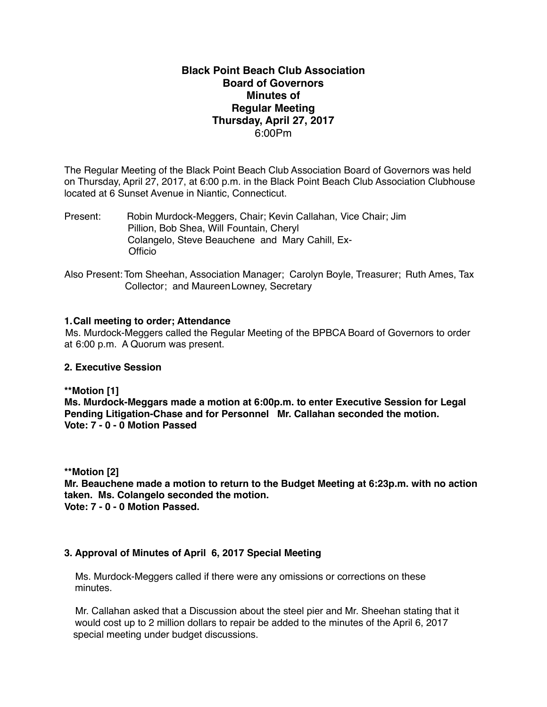#### **Black Point Beach Club Association Board of Governors Minutes of Regular Meeting Thursday, April 27, 2017** 6:00Pm

The Regular Meeting of the Black Point Beach Club Association Board of Governors was held on Thursday, April 27, 2017, at 6:00 p.m. in the Black Point Beach Club Association Clubhouse located at 6 Sunset Avenue in Niantic, Connecticut.

Present: Robin Murdock-Meggers, Chair; Kevin Callahan, Vice Chair; Jim Pillion, Bob Shea, Will Fountain, Cheryl Colangelo, Steve Beauchene and Mary Cahill, Ex- **Officio** 

Also Present: Tom Sheehan, Association Manager; Carolyn Boyle, Treasurer; Ruth Ames, Tax Collector; and MaureenLowney, Secretary

#### **1.Call meeting to order; Attendance**

Ms. Murdock-Meggers called the Regular Meeting of the BPBCA Board of Governors to order at 6:00 p.m. A Quorum was present.

#### **2. Executive Session**

**\*\*Motion [1]**

**Ms. Murdock-Meggars made a motion at 6:00p.m. to enter Executive Session for Legal Pending Litigation-Chase and for Personnel Mr. Callahan seconded the motion. Vote: 7 - 0 - 0 Motion Passed**

**\*\*Motion [2]**

**Mr. Beauchene made a motion to return to the Budget Meeting at 6:23p.m. with no action taken. Ms. Colangelo seconded the motion. Vote: 7 - 0 - 0 Motion Passed.**

#### **3. Approval of Minutes of April 6, 2017 Special Meeting**

Ms. Murdock-Meggers called if there were any omissions or corrections on these minutes.

 Mr. Callahan asked that a Discussion about the steel pier and Mr. Sheehan stating that it would cost up to 2 million dollars to repair be added to the minutes of the April 6, 2017 special meeting under budget discussions.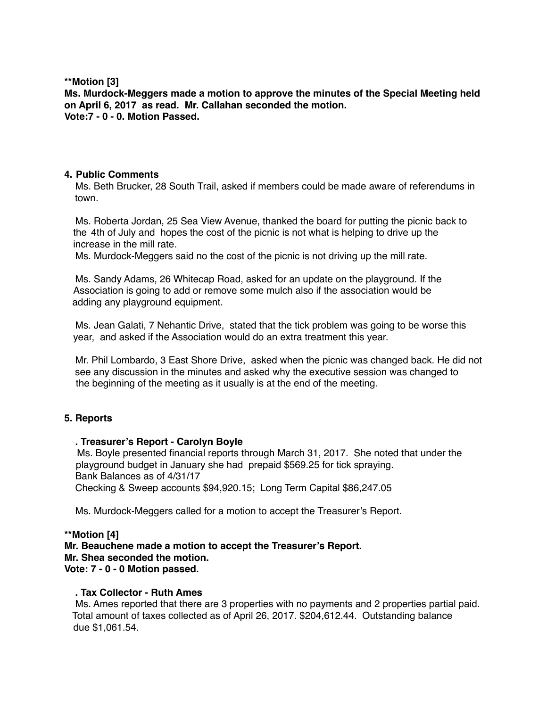**\*\*Motion [3]**

**Ms. Murdock-Meggers made a motion to approve the minutes of the Special Meeting held on April 6, 2017 as read. Mr. Callahan seconded the motion. Vote:7 - 0 - 0. Motion Passed.**

#### **4. Public Comments**

Ms. Beth Brucker, 28 South Trail, asked if members could be made aware of referendums in town.

 Ms. Roberta Jordan, 25 Sea View Avenue, thanked the board for putting the picnic back to the 4th of July and hopes the cost of the picnic is not what is helping to drive up the increase in the mill rate.

Ms. Murdock-Meggers said no the cost of the picnic is not driving up the mill rate.

 Ms. Sandy Adams, 26 Whitecap Road, asked for an update on the playground. If the Association is going to add or remove some mulch also if the association would be adding any playground equipment.

 Ms. Jean Galati, 7 Nehantic Drive, stated that the tick problem was going to be worse this year, and asked if the Association would do an extra treatment this year.

 Mr. Phil Lombardo, 3 East Shore Drive, asked when the picnic was changed back. He did not see any discussion in the minutes and asked why the executive session was changed to the beginning of the meeting as it usually is at the end of the meeting.

#### **5. Reports**

#### **. Treasurer's Report - Carolyn Boyle**

Ms. Boyle presented financial reports through March 31, 2017. She noted that under the playground budget in January she had prepaid \$569.25 for tick spraying. Bank Balances as of 4/31/17 Checking & Sweep accounts \$94,920.15; Long Term Capital \$86,247.05

Ms. Murdock-Meggers called for a motion to accept the Treasurer's Report.

#### **\*\*Motion [4]**

**Mr. Beauchene made a motion to accept the Treasurer's Report. Mr. Shea seconded the motion. Vote: 7 - 0 - 0 Motion passed.**

#### **. Tax Collector - Ruth Ames**

Ms. Ames reported that there are 3 properties with no payments and 2 properties partial paid. Total amount of taxes collected as of April 26, 2017. \$204,612.44. Outstanding balance due \$1,061.54.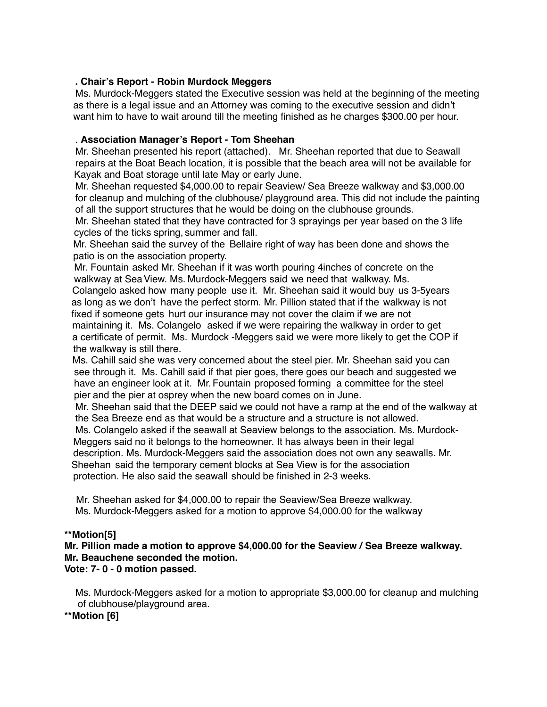#### **. Chair's Report - Robin Murdock Meggers**

 Ms. Murdock-Meggers stated the Executive session was held at the beginning of the meeting as there is a legal issue and an Attorney was coming to the executive session and didn't want him to have to wait around till the meeting finished as he charges \$300.00 per hour.

#### . **Association Manager's Report - Tom Sheehan**

Mr. Sheehan presented his report (attached). Mr. Sheehan reported that due to Seawall repairs at the Boat Beach location, it is possible that the beach area will not be available for Kayak and Boat storage until late May or early June.

 Mr. Sheehan requested \$4,000.00 to repair Seaview/ Sea Breeze walkway and \$3,000.00 for cleanup and mulching of the clubhouse/ playground area. This did not include the painting of all the support structures that he would be doing on the clubhouse grounds.

 Mr. Sheehan stated that they have contracted for 3 sprayings per year based on the 3 life cycles of the ticks spring, summer and fall.

 Mr. Sheehan said the survey of the Bellaire right of way has been done and shows the patio is on the association property.

 Mr. Fountain asked Mr. Sheehan if it was worth pouring 4inches of concrete on the walkway at Sea View. Ms. Murdock-Meggers said we need that walkway. Ms. Colangelo asked how many people use it. Mr. Sheehan said it would buy us 3-5years as long as we don't have the perfect storm. Mr. Pillion stated that if the walkway is not fixed if someone gets hurt our insurance may not cover the claim if we are not maintaining it. Ms. Colangelo asked if we were repairing the walkway in order to get a certificate of permit. Ms. Murdock -Meggers said we were more likely to get the COP if the walkway is still there.

 Ms. Cahill said she was very concerned about the steel pier. Mr. Sheehan said you can see through it. Ms. Cahill said if that pier goes, there goes our beach and suggested we have an engineer look at it. Mr.Fountain proposed forming a committee for the steel pier and the pier at osprey when the new board comes on in June.

 Mr. Sheehan said that the DEEP said we could not have a ramp at the end of the walkway at the Sea Breeze end as that would be a structure and a structure is not allowed.

 Ms. Colangelo asked if the seawall at Seaview belongs to the association. Ms. Murdock-Meggers said no it belongs to the homeowner. It has always been in their legal description. Ms. Murdock-Meggers said the association does not own any seawalls. Mr. Sheehan said the temporary cement blocks at Sea View is for the association protection. He also said the seawall should be finished in 2-3 weeks.

 Mr. Sheehan asked for \$4,000.00 to repair the Seaview/Sea Breeze walkway. Ms. Murdock-Meggers asked for a motion to approve \$4,000.00 for the walkway

#### **\*\*Motion[5]**

**Mr. Pillion made a motion to approve \$4,000.00 for the Seaview / Sea Breeze walkway. Mr. Beauchene seconded the motion. Vote: 7- 0 - 0 motion passed.**

 Ms. Murdock-Meggers asked for a motion to appropriate \$3,000.00 for cleanup and mulching of clubhouse/playground area.

**\*\*Motion [6]**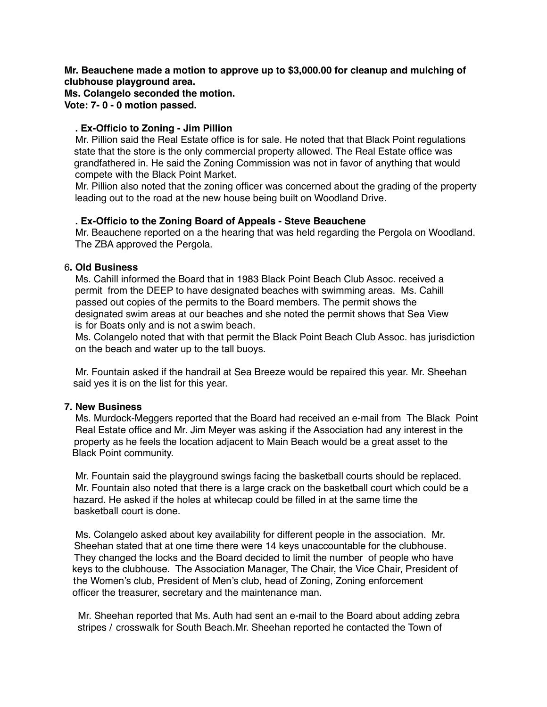**Mr. Beauchene made a motion to approve up to \$3,000.00 for cleanup and mulching of clubhouse playground area.**

**Ms. Colangelo seconded the motion. Vote: 7- 0 - 0 motion passed.**

#### **. Ex-Officio to Zoning - Jim Pillion**

Mr. Pillion said the Real Estate office is for sale. He noted that that Black Point regulations state that the store is the only commercial property allowed. The Real Estate office was grandfathered in. He said the Zoning Commission was not in favor of anything that would compete with the Black Point Market.

 Mr. Pillion also noted that the zoning officer was concerned about the grading of the property leading out to the road at the new house being built on Woodland Drive.

#### **. Ex-Officio to the Zoning Board of Appeals - Steve Beauchene**

Mr. Beauchene reported on a the hearing that was held regarding the Pergola on Woodland. The ZBA approved the Pergola.

#### 6**. Old Business**

Ms. Cahill informed the Board that in 1983 Black Point Beach Club Assoc. received a permit from the DEEP to have designated beaches with swimming areas. Ms. Cahill passed out copies of the permits to the Board members. The permit shows the designated swim areas at our beaches and she noted the permit shows that Sea View is for Boats only and is not a swim beach.

 Ms. Colangelo noted that with that permit the Black Point Beach Club Assoc. has jurisdiction on the beach and water up to the tall buoys.

 Mr. Fountain asked if the handrail at Sea Breeze would be repaired this year. Mr. Sheehan said yes it is on the list for this year.

#### **7. New Business**

Ms. Murdock-Meggers reported that the Board had received an e-mail from The Black Point Real Estate office and Mr. Jim Meyer was asking if the Association had any interest in the property as he feels the location adjacent to Main Beach would be a great asset to the Black Point community.

 Mr. Fountain said the playground swings facing the basketball courts should be replaced. Mr. Fountain also noted that there is a large crack on the basketball court which could be a hazard. He asked if the holes at whitecap could be filled in at the same time the basketball court is done.

 Ms. Colangelo asked about key availability for different people in the association. Mr. Sheehan stated that at one time there were 14 keys unaccountable for the clubhouse. They changed the locks and the Board decided to limit the number of people who have keys to the clubhouse. The Association Manager, The Chair, the Vice Chair, President of the Women's club, President of Men's club, head of Zoning, Zoning enforcement officer the treasurer, secretary and the maintenance man.

 Mr. Sheehan reported that Ms. Auth had sent an e-mail to the Board about adding zebra stripes / crosswalk for South Beach.Mr. Sheehan reported he contacted the Town of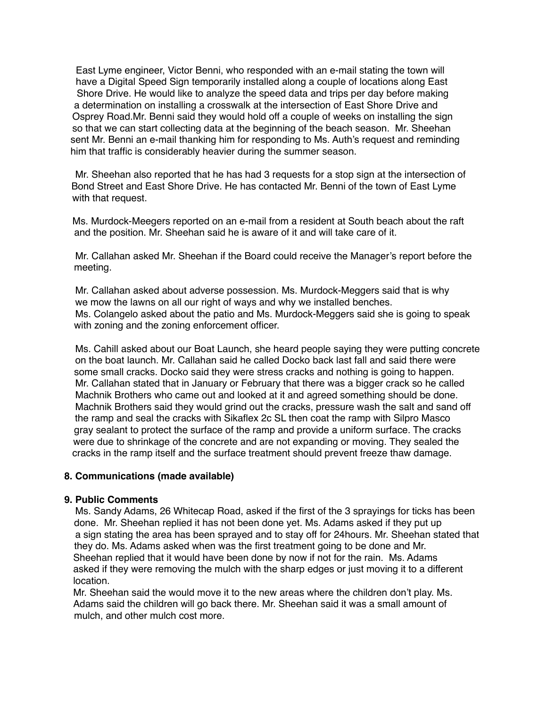East Lyme engineer, Victor Benni, who responded with an e-mail stating the town will have a Digital Speed Sign temporarily installed along a couple of locations along East Shore Drive. He would like to analyze the speed data and trips per day before making a determination on installing a crosswalk at the intersection of East Shore Drive and Osprey Road.Mr. Benni said they would hold off a couple of weeks on installing the sign so that we can start collecting data at the beginning of the beach season. Mr. Sheehan sent Mr. Benni an e-mail thanking him for responding to Ms. Auth's request and reminding him that traffic is considerably heavier during the summer season.

 Mr. Sheehan also reported that he has had 3 requests for a stop sign at the intersection of Bond Street and East Shore Drive. He has contacted Mr. Benni of the town of East Lyme with that request.

 Ms. Murdock-Meegers reported on an e-mail from a resident at South beach about the raft and the position. Mr. Sheehan said he is aware of it and will take care of it.

 Mr. Callahan asked Mr. Sheehan if the Board could receive the Manager's report before the meeting.

 Mr. Callahan asked about adverse possession. Ms. Murdock-Meggers said that is why we mow the lawns on all our right of ways and why we installed benches. Ms. Colangelo asked about the patio and Ms. Murdock-Meggers said she is going to speak with zoning and the zoning enforcement officer.

 Ms. Cahill asked about our Boat Launch, she heard people saying they were putting concrete on the boat launch. Mr. Callahan said he called Docko back last fall and said there were some small cracks. Docko said they were stress cracks and nothing is going to happen. Mr. Callahan stated that in January or February that there was a bigger crack so he called Machnik Brothers who came out and looked at it and agreed something should be done. Machnik Brothers said they would grind out the cracks, pressure wash the salt and sand off the ramp and seal the cracks with Sikaflex 2c SL then coat the ramp with Silpro Masco gray sealant to protect the surface of the ramp and provide a uniform surface. The cracks were due to shrinkage of the concrete and are not expanding or moving. They sealed the cracks in the ramp itself and the surface treatment should prevent freeze thaw damage.

#### **8. Communications (made available)**

#### **9. Public Comments**

Ms. Sandy Adams, 26 Whitecap Road, asked if the first of the 3 sprayings for ticks has been done. Mr. Sheehan replied it has not been done yet. Ms. Adams asked if they put up a sign stating the area has been sprayed and to stay off for 24hours. Mr. Sheehan stated that they do. Ms. Adams asked when was the first treatment going to be done and Mr. Sheehan replied that it would have been done by now if not for the rain. Ms. Adams asked if they were removing the mulch with the sharp edges or just moving it to a different location.

Mr. Sheehan said the would move it to the new areas where the children don't play. Ms. Adams said the children will go back there. Mr. Sheehan said it was a small amount of mulch, and other mulch cost more.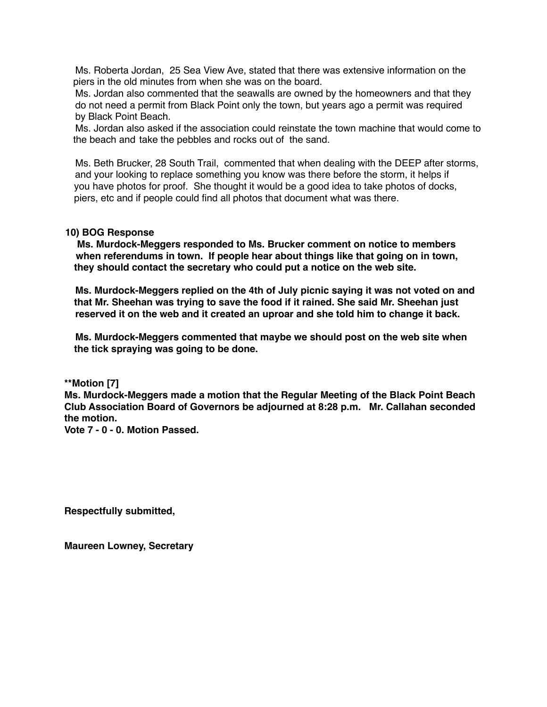Ms. Roberta Jordan, 25 Sea View Ave, stated that there was extensive information on the piers in the old minutes from when she was on the board.

 Ms. Jordan also commented that the seawalls are owned by the homeowners and that they do not need a permit from Black Point only the town, but years ago a permit was required by Black Point Beach.

 Ms. Jordan also asked if the association could reinstate the town machine that would come to the beach and take the pebbles and rocks out of the sand.

 Ms. Beth Brucker, 28 South Trail, commented that when dealing with the DEEP after storms, and your looking to replace something you know was there before the storm, it helps if you have photos for proof. She thought it would be a good idea to take photos of docks, piers, etc and if people could find all photos that document what was there.

#### **10) BOG Response**

 **Ms. Murdock-Meggers responded to Ms. Brucker comment on notice to members when referendums in town. If people hear about things like that going on in town, they should contact the secretary who could put a notice on the web site.**

 **Ms. Murdock-Meggers replied on the 4th of July picnic saying it was not voted on and that Mr. Sheehan was trying to save the food if it rained. She said Mr. Sheehan just reserved it on the web and it created an uproar and she told him to change it back.**

 **Ms. Murdock-Meggers commented that maybe we should post on the web site when the tick spraying was going to be done.**

**\*\*Motion [7]**

**Ms. Murdock-Meggers made a motion that the Regular Meeting of the Black Point Beach Club Association Board of Governors be adjourned at 8:28 p.m. Mr. Callahan seconded the motion.**

**Vote 7 - 0 - 0. Motion Passed.**

**Respectfully submitted,**

**Maureen Lowney, Secretary**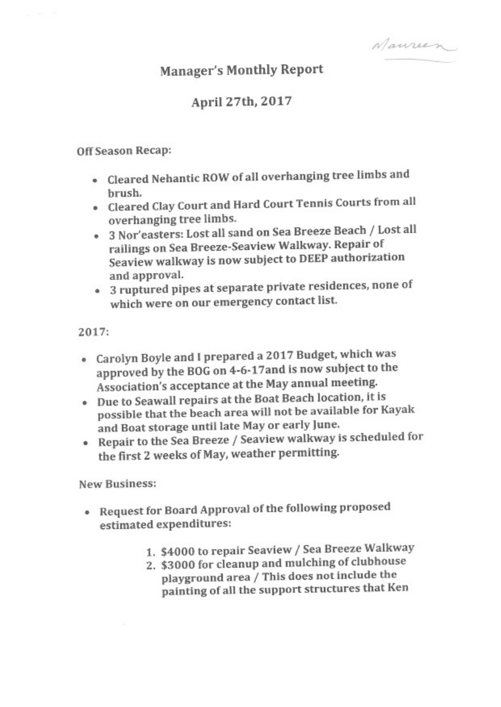Naureen

# **Manager's Monthly Report**

## April 27th, 2017

### Off Season Recap:

- Cleared Nehantic ROW of all overhanging tree limbs and brush.
- Cleared Clay Court and Hard Court Tennis Courts from all overhanging tree limbs.
- · 3 Nor'easters: Lost all sand on Sea Breeze Beach / Lost all railings on Sea Breeze-Seaview Walkway. Repair of Seaview walkway is now subject to DEEP authorization and approval.
- 3 ruptured pipes at separate private residences, none of which were on our emergency contact list.

2017:

- Carolyn Boyle and I prepared a 2017 Budget, which was approved by the BOG on 4-6-17 and is now subject to the Association's acceptance at the May annual meeting.
- Due to Seawall repairs at the Boat Beach location, it is possible that the beach area will not be available for Kayak and Boat storage until late May or early June.
- Repair to the Sea Breeze / Seaview walkway is scheduled for the first 2 weeks of May, weather permitting.

**New Business:** 

- Request for Board Approval of the following proposed estimated expenditures:
	- 1. \$4000 to repair Seaview / Sea Breeze Walkway
	- 2. \$3000 for cleanup and mulching of clubhouse playground area / This does not include the painting of all the support structures that Ken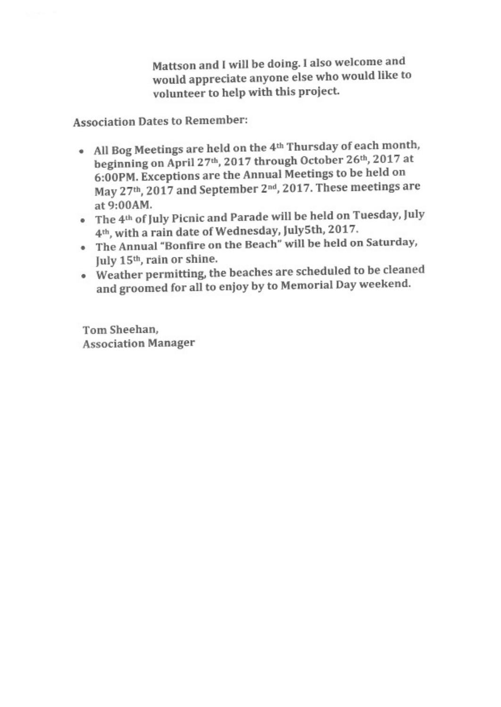Mattson and I will be doing. I also welcome and would appreciate anyone else who would like to volunteer to help with this project.

**Association Dates to Remember:** 

- All Bog Meetings are held on the 4<sup>th</sup> Thursday of each month, beginning on April 27th, 2017 through October 26th, 2017 at 6:00PM. Exceptions are the Annual Meetings to be held on May 27th, 2017 and September 2nd, 2017. These meetings are at 9:00 AM.
- The 4th of July Picnic and Parade will be held on Tuesday, July 4<sup>th</sup>, with a rain date of Wednesday, July5th, 2017.
- . The Annual "Bonfire on the Beach" will be held on Saturday, July 15<sup>th</sup>, rain or shine.
- Weather permitting, the beaches are scheduled to be cleaned and groomed for all to enjoy by to Memorial Day weekend.

Tom Sheehan, **Association Manager**